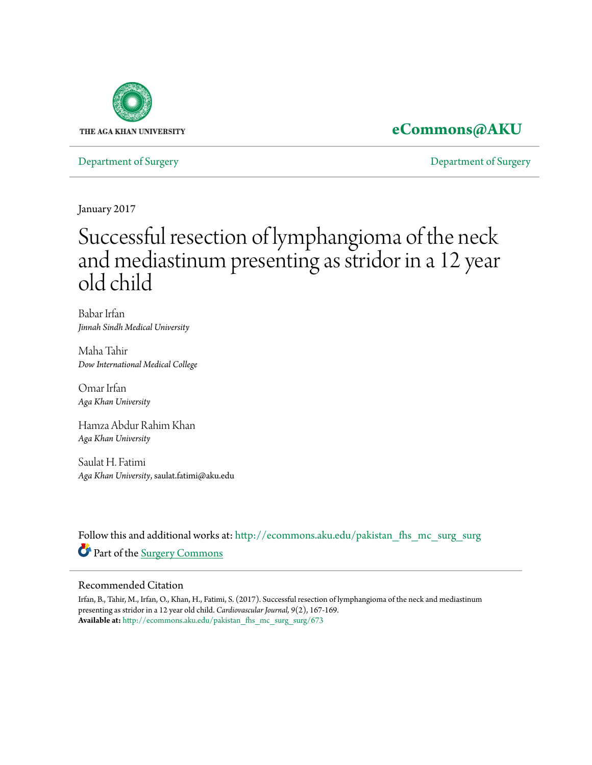

### **[eCommons@AKU](http://ecommons.aku.edu?utm_source=ecommons.aku.edu%2Fpakistan_fhs_mc_surg_surg%2F673&utm_medium=PDF&utm_campaign=PDFCoverPages)**

[Department of Surgery](http://ecommons.aku.edu/pakistan_fhs_mc_surg_surg?utm_source=ecommons.aku.edu%2Fpakistan_fhs_mc_surg_surg%2F673&utm_medium=PDF&utm_campaign=PDFCoverPages) [Department of Surgery](http://ecommons.aku.edu/pakistan_fhs_mc_surg?utm_source=ecommons.aku.edu%2Fpakistan_fhs_mc_surg_surg%2F673&utm_medium=PDF&utm_campaign=PDFCoverPages)

January 2017

# Successful resection of lymphangioma of the neck and mediastinum presenting as stridor in a 12 year old child

Babar Irfan *Jinnah Sindh Medical University*

Maha Tahir *Dow International Medical College*

Omar Irfan *Aga Khan University*

Hamza Abdur Rahim Khan *Aga Khan University*

Saulat H. Fatimi *Aga Khan University*, saulat.fatimi@aku.edu

Follow this and additional works at: [http://ecommons.aku.edu/pakistan\\_fhs\\_mc\\_surg\\_surg](http://ecommons.aku.edu/pakistan_fhs_mc_surg_surg?utm_source=ecommons.aku.edu%2Fpakistan_fhs_mc_surg_surg%2F673&utm_medium=PDF&utm_campaign=PDFCoverPages) Part of the [Surgery Commons](http://network.bepress.com/hgg/discipline/706?utm_source=ecommons.aku.edu%2Fpakistan_fhs_mc_surg_surg%2F673&utm_medium=PDF&utm_campaign=PDFCoverPages)

#### Recommended Citation

Irfan, B., Tahir, M., Irfan, O., Khan, H., Fatimi, S. (2017). Successful resection of lymphangioma of the neck and mediastinum presenting as stridor in a 12 year old child. *Cardiovascular Journal, 9*(2), 167-169. **Available at:** [http://ecommons.aku.edu/pakistan\\_fhs\\_mc\\_surg\\_surg/673](http://ecommons.aku.edu/pakistan_fhs_mc_surg_surg/673)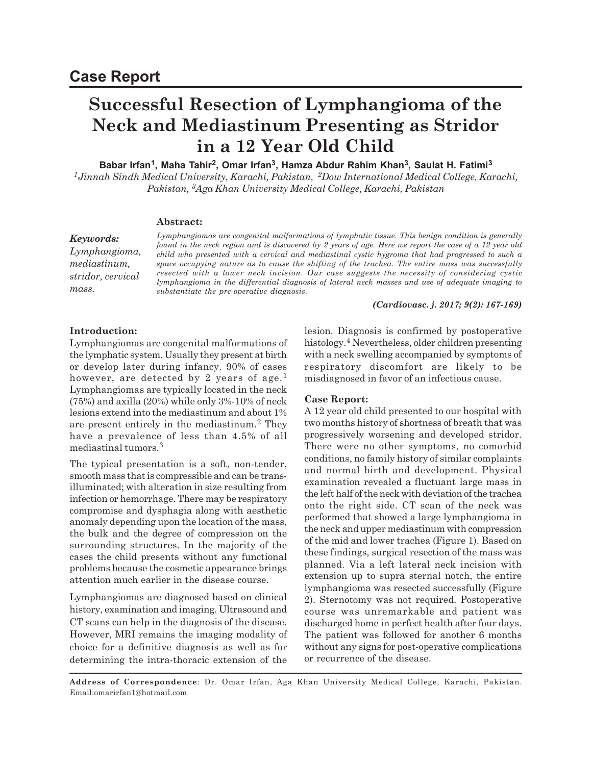## **Successful Resection of Lymphangioma of the Neck and Mediastinum Presenting as Stridor in a 12 Year Old Child**

**Babar Irfan<sup>1</sup> , Maha Tahir<sup>2</sup> , Omar Irfan<sup>3</sup> , Hamza Abdur Rahim Khan<sup>3</sup> , Saulat H. Fatimi<sup>3</sup>**

*<sup>1</sup>Jinnah Sindh Medical University, Karachi, Pakistan, 2Dow International Medical College, Karachi, Pakistan, 3Aga Khan University Medical College, Karachi, Pakistan*

#### **Abstract:**

#### *Keywords:*

*Lymphangioma, mediastinum, stridor, cervical mass.*

*Lymphangiomas are congenital malformations of lymphatic tissue. This benign condition is generally found in the neck region and is discovered by 2 years of age. Here we report the case of a 12 year old child who presented with a cervical and mediastinal cystic hygroma that had progressed to such a space occupying nature as to cause the shifting of the trachea. The entire mass was successfully resected with a lower neck incision. Our case suggests the necessity of considering cystic lymphangioma in the differential diagnosis of lateral neck masses and use of adequate imaging to substantiate the pre-operative diagnosis.*

#### *(Cardiovasc. j. 2017; 9(2): 167-169)*

#### **Introduction:**

Lymphangiomas are congenital malformations of the lymphatic system. Usually they present at birth or develop later during infancy. 90% of cases however, are detected by 2 years of age.<sup>1</sup> Lymphangiomas are typically located in the neck  $(75%)$  and axilla  $(20%)$  while only  $3%$ -10% of neck lesions extend into the mediastinum and about 1% are present entirely in the mediastinum.<sup>2</sup> They have a prevalence of less than 4.5% of all mediastinal tumors.<sup>3</sup>

The typical presentation is a soft, non-tender, smooth mass that is compressible and can be transilluminated; with alteration in size resulting from infection or hemorrhage. There may be respiratory compromise and dysphagia along with aesthetic anomaly depending upon the location of the mass, the bulk and the degree of compression on the surrounding structures. In the majority of the cases the child presents without any functional problems because the cosmetic appearance brings attention much earlier in the disease course.

Lymphangiomas are diagnosed based on clinical history, examination and imaging. Ultrasound and CT scans can help in the diagnosis of the disease. However, MRI remains the imaging modality of choice for a definitive diagnosis as well as for determining the intra-thoracic extension of the lesion. Diagnosis is confirmed by postoperative histology.<sup>4</sup> Nevertheless, older children presenting with a neck swelling accompanied by symptoms of respiratory discomfort are likely to be misdiagnosed in favor of an infectious cause.

#### **Case Report:**

A 12 year old child presented to our hospital with two months history of shortness of breath that was progressively worsening and developed stridor. There were no other symptoms, no comorbid conditions, no family history of similar complaints and normal birth and development. Physical examination revealed a fluctuant large mass in the left half of the neck with deviation of the trachea onto the right side. CT scan of the neck was performed that showed a large lymphangioma in the neck and upper mediastinum with compression of the mid and lower trachea (Figure 1). Based on these findings, surgical resection of the mass was planned. Via a left lateral neck incision with extension up to supra sternal notch, the entire lymphangioma was resected successfully (Figure 2). Sternotomy was not required. Postoperative course was unremarkable and patient was discharged home in perfect health after four days. The patient was followed for another 6 months without any signs for post-operative complications or recurrence of the disease.

**Address of Correspondence**: Dr. Omar Irfan, Aga Khan University Medical College, Karachi, Pakistan. Email:omarirfan1@hotmail.com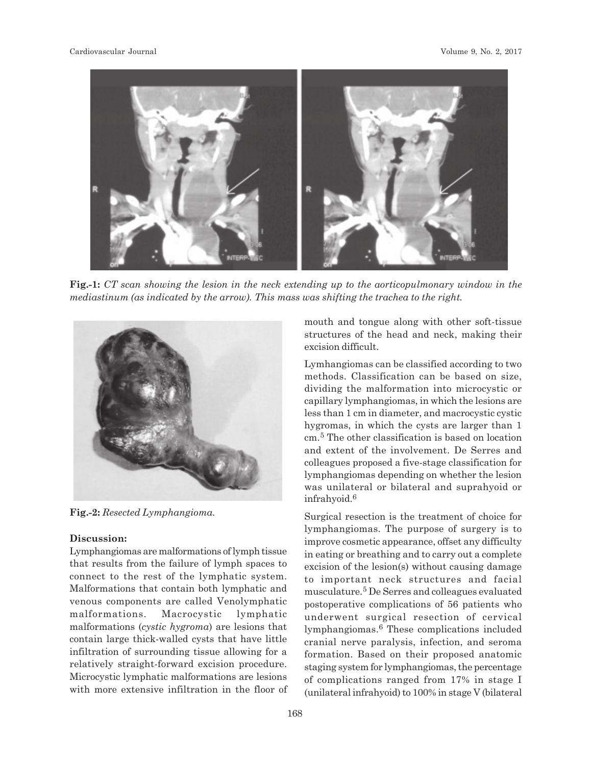

**Fig.-1:** *CT scan showing the lesion in the neck extending up to the aorticopulmonary window in the mediastinum (as indicated by the arrow). This mass was shifting the trachea to the right.*



**Fig.-2:** *Resected Lymphangioma.*

#### **Discussion:**

Lymphangiomas are malformations of lymph tissue that results from the failure of lymph spaces to connect to the rest of the lymphatic system. Malformations that contain both lymphatic and venous components are called Venolymphatic malformations. Macrocystic lymphatic malformations (*cystic hygroma*) are lesions that contain large thick-walled cysts that have little infiltration of surrounding tissue allowing for a relatively straight-forward excision procedure. Microcystic lymphatic malformations are lesions with more extensive infiltration in the floor of

168

mouth and tongue along with other soft-tissue structures of the head and neck, making their excision difficult.

Lymhangiomas can be classified according to two methods. Classification can be based on size, dividing the malformation into microcystic or capillary lymphangiomas, in which the lesions are less than 1 cm in diameter, and macrocystic cystic hygromas, in which the cysts are larger than 1 cm.<sup>5</sup> The other classification is based on location and extent of the involvement. De Serres and colleagues proposed a five-stage classification for lymphangiomas depending on whether the lesion was unilateral or bilateral and suprahyoid or infrahyoid.<sup>6</sup>

Surgical resection is the treatment of choice for lymphangiomas. The purpose of surgery is to improve cosmetic appearance, offset any difficulty in eating or breathing and to carry out a complete excision of the lesion(s) without causing damage to important neck structures and facial musculature.<sup>5</sup> De Serres and colleagues evaluated postoperative complications of 56 patients who underwent surgical resection of cervical lymphangiomas. 6 These complications included cranial nerve paralysis, infection, and seroma formation. Based on their proposed anatomic staging system for lymphangiomas, the percentage of complications ranged from 17% in stage I (unilateral infrahyoid) to 100% in stage V (bilateral